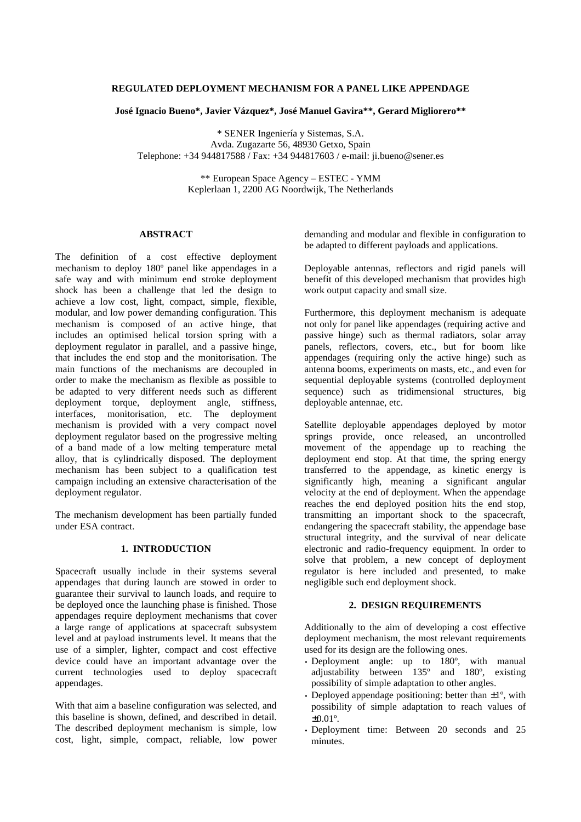# **REGULATED DEPLOYMENT MECHANISM FOR A PANEL LIKE APPENDAGE**

**José Ignacio Bueno\*, Javier Vázquez\*, José Manuel Gavira\*\*, Gerard Migliorero\*\***

\* SENER Ingeniería y Sistemas, S.A. Avda. Zugazarte 56, 48930 Getxo, Spain Telephone: +34 944817588 / Fax: +34 944817603 / e-mail: ji.bueno@sener.es

> \*\* European Space Agency – ESTEC - YMM Keplerlaan 1, 2200 AG Noordwijk, The Netherlands

## **ABSTRACT**

The definition of a cost effective deployment mechanism to deploy 180º panel like appendages in a safe way and with minimum end stroke deployment shock has been a challenge that led the design to achieve a low cost, light, compact, simple, flexible, modular, and low power demanding configuration. This mechanism is composed of an active hinge, that includes an optimised helical torsion spring with a deployment regulator in parallel, and a passive hinge, that includes the end stop and the monitorisation. The main functions of the mechanisms are decoupled in order to make the mechanism as flexible as possible to be adapted to very different needs such as different deployment torque, deployment angle, stiffness, interfaces, monitorisation, etc. The deployment mechanism is provided with a very compact novel deployment regulator based on the progressive melting of a band made of a low melting temperature metal alloy, that is cylindrically disposed. The deployment mechanism has been subject to a qualification test campaign including an extensive characterisation of the deployment regulator.

The mechanism development has been partially funded under ESA contract.

## **1. INTRODUCTION**

Spacecraft usually include in their systems several appendages that during launch are stowed in order to guarantee their survival to launch loads, and require to be deployed once the launching phase is finished. Those appendages require deployment mechanisms that cover a large range of applications at spacecraft subsystem level and at payload instruments level. It means that the use of a simpler, lighter, compact and cost effective device could have an important advantage over the current technologies used to deploy spacecraft appendages.

With that aim a baseline configuration was selected, and this baseline is shown, defined, and described in detail. The described deployment mechanism is simple, low cost, light, simple, compact, reliable, low power demanding and modular and flexible in configuration to be adapted to different payloads and applications.

Deployable antennas, reflectors and rigid panels will benefit of this developed mechanism that provides high work output capacity and small size.

Furthermore, this deployment mechanism is adequate not only for panel like appendages (requiring active and passive hinge) such as thermal radiators, solar array panels, reflectors, covers, etc., but for boom like appendages (requiring only the active hinge) such as antenna booms, experiments on masts, etc., and even for sequential deployable systems (controlled deployment sequence) such as tridimensional structures, big deployable antennae, etc.

Satellite deployable appendages deployed by motor springs provide, once released, an uncontrolled movement of the appendage up to reaching the deployment end stop. At that time, the spring energy transferred to the appendage, as kinetic energy is significantly high, meaning a significant angular velocity at the end of deployment. When the appendage reaches the end deployed position hits the end stop, transmitting an important shock to the spacecraft, endangering the spacecraft stability, the appendage base structural integrity, and the survival of near delicate electronic and radio-frequency equipment. In order to solve that problem, a new concept of deployment regulator is here included and presented, to make negligible such end deployment shock.

### **2. DESIGN REQUIREMENTS**

Additionally to the aim of developing a cost effective deployment mechanism, the most relevant requirements used for its design are the following ones.

- Deployment angle: up to 180<sup>°</sup>, with manual adjustability between 135º and 180º, existing possibility of simple adaptation to other angles.
- Deployed appendage positioning: better than  $\pm 1^\circ$ , with possibility of simple adaptation to reach values of  $\pm 0.01$ °.
- Deployment time: Between 20 seconds and 25 minutes.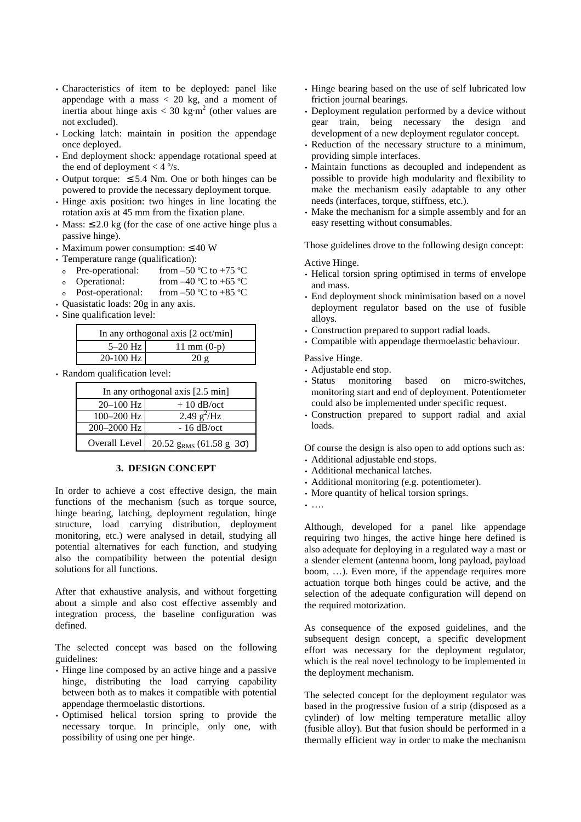- Characteristics of item to be deployed: panel like appendage with a mass  $<$  20 kg, and a moment of inertia about hinge axis  $<$  30 kg·m<sup>2</sup> (other values are not excluded).
- Locking latch: maintain in position the appendage once deployed.
- End deployment shock: appendage rotational speed at the end of deployment  $<$  4  $\degree$ /s.
- Output torque:  $\leq 5.4$  Nm. One or both hinges can be powered to provide the necessary deployment torque.
- Hinge axis position: two hinges in line locating the rotation axis at 45 mm from the fixation plane.
- Mass:  $\leq 2.0$  kg (for the case of one active hinge plus a passive hinge).
- Maximum power consumption:  $\leq 40$  W
- Temperature range (qualification):
- o Pre-operational: from –50 °C to +75 °C
- Operational: from  $-40^{\circ}$ C to  $+65^{\circ}$ C
- <sup>ο</sup> Post-operational: from –50 ºC to +85 ºC
- Quasistatic loads: 20g in any axis.
- Sine qualification level:

| In any orthogonal axis $[2 \text{ oct/min}]$ |               |  |  |  |
|----------------------------------------------|---------------|--|--|--|
| $5-20$ Hz                                    | 11 mm $(0-p)$ |  |  |  |
| 20-100 Hz                                    | 20g           |  |  |  |

• Random qualification level:

| In any orthogonal axis $[2.5 \text{ min}]$ |                                         |  |  |  |
|--------------------------------------------|-----------------------------------------|--|--|--|
| $20 - 100$ Hz                              | $+10$ dB/oct                            |  |  |  |
| $100 - 200$ Hz                             | 2.49 $g^2$ /Hz                          |  |  |  |
| 200-2000 Hz                                | $-16$ dB/oct                            |  |  |  |
| Overall Level                              | 20.52 $g_{RMS}$ (61.58 $g$ 3 $\sigma$ ) |  |  |  |

## **3. DESIGN CONCEPT**

In order to achieve a cost effective design, the main functions of the mechanism (such as torque source, hinge bearing, latching, deployment regulation, hinge structure, load carrying distribution, deployment monitoring, etc.) were analysed in detail, studying all potential alternatives for each function, and studying also the compatibility between the potential design solutions for all functions.

After that exhaustive analysis, and without forgetting about a simple and also cost effective assembly and integration process, the baseline configuration was defined.

The selected concept was based on the following guidelines:

- Hinge line composed by an active hinge and a passive hinge, distributing the load carrying capability between both as to makes it compatible with potential appendage thermoelastic distortions.
- Optimised helical torsion spring to provide the necessary torque. In principle, only one, with possibility of using one per hinge.
- Hinge bearing based on the use of self lubricated low friction journal bearings.
- Deployment regulation performed by a device without gear train, being necessary the design and development of a new deployment regulator concept.
- Reduction of the necessary structure to a minimum, providing simple interfaces.
- Maintain functions as decoupled and independent as possible to provide high modularity and flexibility to make the mechanism easily adaptable to any other needs (interfaces, torque, stiffness, etc.).
- Make the mechanism for a simple assembly and for an easy resetting without consumables.

Those guidelines drove to the following design concept:

Active Hinge.

- Helical torsion spring optimised in terms of envelope and mass.
- End deployment shock minimisation based on a novel deployment regulator based on the use of fusible alloys.
- Construction prepared to support radial loads.
- Compatible with appendage thermoelastic behaviour.

Passive Hinge.

- Adjustable end stop.
- Status monitoring based on micro-switches, monitoring start and end of deployment. Potentiometer could also be implemented under specific request.
- Construction prepared to support radial and axial loads.

Of course the design is also open to add options such as:

- Additional adjustable end stops.
- Additional mechanical latches.
- Additional monitoring (e.g. potentiometer).
- More quantity of helical torsion springs.
- ….

Although, developed for a panel like appendage requiring two hinges, the active hinge here defined is also adequate for deploying in a regulated way a mast or a slender element (antenna boom, long payload, payload boom, …). Even more, if the appendage requires more actuation torque both hinges could be active, and the selection of the adequate configuration will depend on the required motorization.

As consequence of the exposed guidelines, and the subsequent design concept, a specific development effort was necessary for the deployment regulator, which is the real novel technology to be implemented in the deployment mechanism.

The selected concept for the deployment regulator was based in the progressive fusion of a strip (disposed as a cylinder) of low melting temperature metallic alloy (fusible alloy). But that fusion should be performed in a thermally efficient way in order to make the mechanism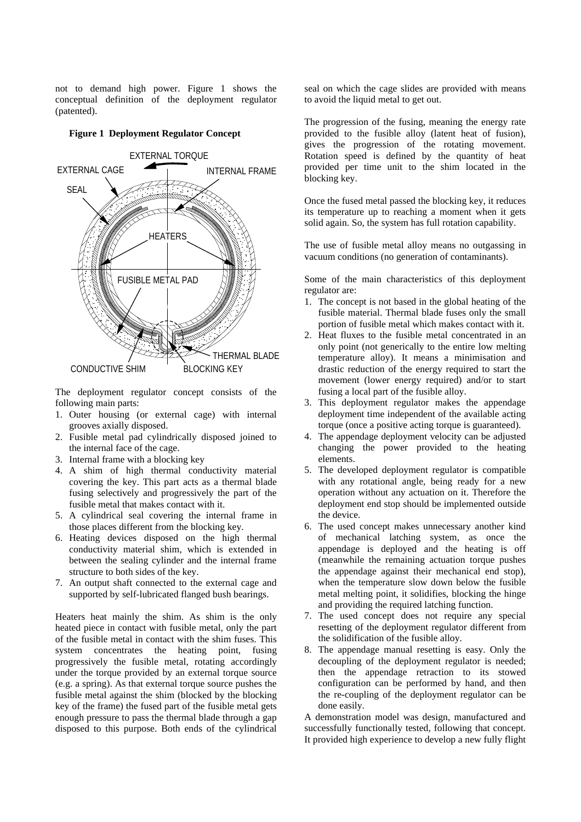not to demand high power. Figure 1 shows the conceptual definition of the deployment regulator (patented).

## **Figure 1 Deployment Regulator Concept**



The deployment regulator concept consists of the following main parts:

- 1. Outer housing (or external cage) with internal grooves axially disposed.
- 2. Fusible metal pad cylindrically disposed joined to the internal face of the cage.
- 3. Internal frame with a blocking key
- 4. A shim of high thermal conductivity material covering the key. This part acts as a thermal blade fusing selectively and progressively the part of the fusible metal that makes contact with it.
- 5. A cylindrical seal covering the internal frame in those places different from the blocking key.
- 6. Heating devices disposed on the high thermal conductivity material shim, which is extended in between the sealing cylinder and the internal frame structure to both sides of the key.
- 7. An output shaft connected to the external cage and supported by self-lubricated flanged bush bearings.

Heaters heat mainly the shim. As shim is the only heated piece in contact with fusible metal, only the part of the fusible metal in contact with the shim fuses. This system concentrates the heating point, fusing progressively the fusible metal, rotating accordingly under the torque provided by an external torque source (e.g. a spring). As that external torque source pushes the fusible metal against the shim (blocked by the blocking key of the frame) the fused part of the fusible metal gets enough pressure to pass the thermal blade through a gap disposed to this purpose. Both ends of the cylindrical seal on which the cage slides are provided with means to avoid the liquid metal to get out.

The progression of the fusing, meaning the energy rate provided to the fusible alloy (latent heat of fusion), gives the progression of the rotating movement. Rotation speed is defined by the quantity of heat provided per time unit to the shim located in the blocking key.

Once the fused metal passed the blocking key, it reduces its temperature up to reaching a moment when it gets solid again. So, the system has full rotation capability.

The use of fusible metal alloy means no outgassing in vacuum conditions (no generation of contaminants).

Some of the main characteristics of this deployment regulator are:

- 1. The concept is not based in the global heating of the fusible material. Thermal blade fuses only the small portion of fusible metal which makes contact with it.
- 2. Heat fluxes to the fusible metal concentrated in an only point (not generically to the entire low melting temperature alloy). It means a minimisation and drastic reduction of the energy required to start the movement (lower energy required) and/or to start fusing a local part of the fusible alloy.
- 3. This deployment regulator makes the appendage deployment time independent of the available acting torque (once a positive acting torque is guaranteed).
- 4. The appendage deployment velocity can be adjusted changing the power provided to the heating elements.
- 5. The developed deployment regulator is compatible with any rotational angle, being ready for a new operation without any actuation on it. Therefore the deployment end stop should be implemented outside the device.
- 6. The used concept makes unnecessary another kind of mechanical latching system, as once the appendage is deployed and the heating is off (meanwhile the remaining actuation torque pushes the appendage against their mechanical end stop), when the temperature slow down below the fusible metal melting point, it solidifies, blocking the hinge and providing the required latching function.
- 7. The used concept does not require any special resetting of the deployment regulator different from the solidification of the fusible alloy.
- 8. The appendage manual resetting is easy. Only the decoupling of the deployment regulator is needed; then the appendage retraction to its stowed configuration can be performed by hand, and then the re-coupling of the deployment regulator can be done easily.

A demonstration model was design, manufactured and successfully functionally tested, following that concept. It provided high experience to develop a new fully flight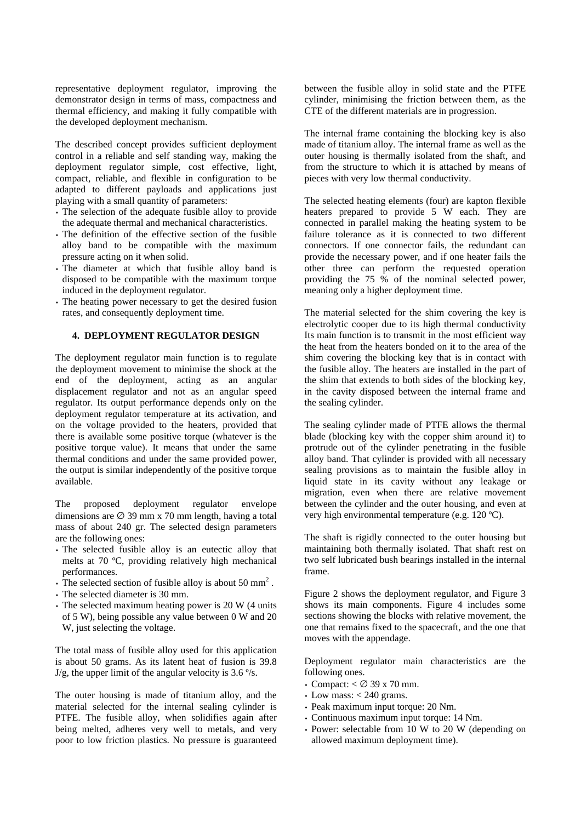representative deployment regulator, improving the demonstrator design in terms of mass, compactness and thermal efficiency, and making it fully compatible with the developed deployment mechanism.

The described concept provides sufficient deployment control in a reliable and self standing way, making the deployment regulator simple, cost effective, light, compact, reliable, and flexible in configuration to be adapted to different payloads and applications just playing with a small quantity of parameters:

- The selection of the adequate fusible alloy to provide the adequate thermal and mechanical characteristics.
- The definition of the effective section of the fusible alloy band to be compatible with the maximum pressure acting on it when solid.
- The diameter at which that fusible alloy band is disposed to be compatible with the maximum torque induced in the deployment regulator.
- The heating power necessary to get the desired fusion rates, and consequently deployment time.

## **4. DEPLOYMENT REGULATOR DESIGN**

The deployment regulator main function is to regulate the deployment movement to minimise the shock at the end of the deployment, acting as an angular displacement regulator and not as an angular speed regulator. Its output performance depends only on the deployment regulator temperature at its activation, and on the voltage provided to the heaters, provided that there is available some positive torque (whatever is the positive torque value). It means that under the same thermal conditions and under the same provided power, the output is similar independently of the positive torque available.

The proposed deployment regulator envelope dimensions are  $\varnothing$  39 mm x 70 mm length, having a total mass of about 240 gr. The selected design parameters are the following ones:

- The selected fusible alloy is an eutectic alloy that melts at 70 ºC, providing relatively high mechanical performances.
- The selected section of fusible alloy is about 50 mm<sup>2</sup>.
- The selected diameter is 30 mm.
- The selected maximum heating power is 20 W (4 units) of 5 W), being possible any value between 0 W and 20 W, just selecting the voltage.

The total mass of fusible alloy used for this application is about 50 grams. As its latent heat of fusion is 39.8 J/g, the upper limit of the angular velocity is  $3.6\degree$ /s.

The outer housing is made of titanium alloy, and the material selected for the internal sealing cylinder is PTFE. The fusible alloy, when solidifies again after being melted, adheres very well to metals, and very poor to low friction plastics. No pressure is guaranteed between the fusible alloy in solid state and the PTFE cylinder, minimising the friction between them, as the CTE of the different materials are in progression.

The internal frame containing the blocking key is also made of titanium alloy. The internal frame as well as the outer housing is thermally isolated from the shaft, and from the structure to which it is attached by means of pieces with very low thermal conductivity.

The selected heating elements (four) are kapton flexible heaters prepared to provide 5 W each. They are connected in parallel making the heating system to be failure tolerance as it is connected to two different connectors. If one connector fails, the redundant can provide the necessary power, and if one heater fails the other three can perform the requested operation providing the 75 % of the nominal selected power, meaning only a higher deployment time.

The material selected for the shim covering the key is electrolytic cooper due to its high thermal conductivity Its main function is to transmit in the most efficient way the heat from the heaters bonded on it to the area of the shim covering the blocking key that is in contact with the fusible alloy. The heaters are installed in the part of the shim that extends to both sides of the blocking key, in the cavity disposed between the internal frame and the sealing cylinder.

The sealing cylinder made of PTFE allows the thermal blade (blocking key with the copper shim around it) to protrude out of the cylinder penetrating in the fusible alloy band. That cylinder is provided with all necessary sealing provisions as to maintain the fusible alloy in liquid state in its cavity without any leakage or migration, even when there are relative movement between the cylinder and the outer housing, and even at very high environmental temperature (e.g. 120 ºC).

The shaft is rigidly connected to the outer housing but maintaining both thermally isolated. That shaft rest on two self lubricated bush bearings installed in the internal frame.

Figure 2 shows the deployment regulator, and Figure 3 shows its main components. Figure 4 includes some sections showing the blocks with relative movement, the one that remains fixed to the spacecraft, and the one that moves with the appendage.

Deployment regulator main characteristics are the following ones.

- Compact:  $<$   $\varnothing$  39 x 70 mm.
- Low mass:  $< 240$  grams.
- Peak maximum input torque: 20 Nm.
- Continuous maximum input torque: 14 Nm.
- Power: selectable from 10 W to 20 W (depending on allowed maximum deployment time).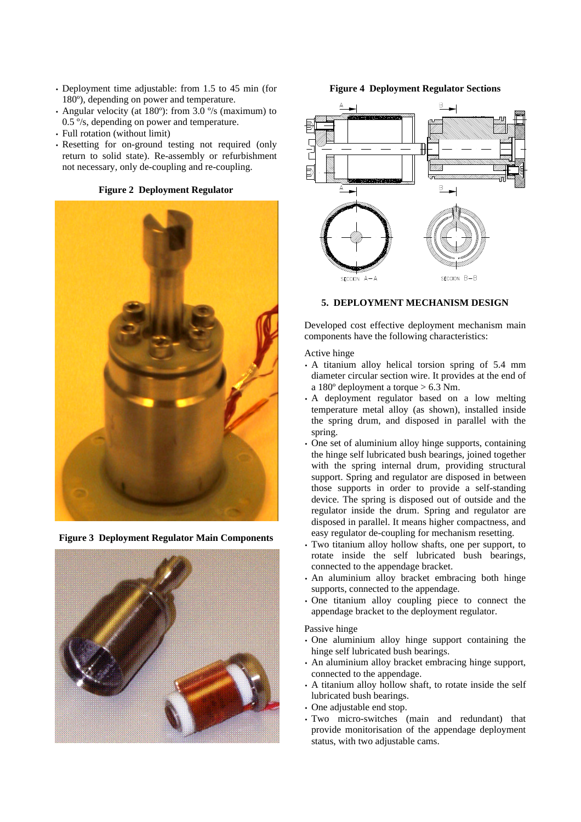- Deployment time adjustable: from 1.5 to 45 min (for 180º), depending on power and temperature.
- Angular velocity (at 180º): from 3.0 º/s (maximum) to 0.5 º/s, depending on power and temperature.
- Full rotation (without limit)
- Resetting for on-ground testing not required (only return to solid state). Re-assembly or refurbishment not necessary, only de-coupling and re-coupling.





**Figure 3 Deployment Regulator Main Components**



**Figure 4 Deployment Regulator Sections**



## **5. DEPLOYMENT MECHANISM DESIGN**

Developed cost effective deployment mechanism main components have the following characteristics:

#### Active hinge

- A titanium alloy helical torsion spring of 5.4 mm diameter circular section wire. It provides at the end of a 180º deployment a torque > 6.3 Nm.
- A deployment regulator based on a low melting temperature metal alloy (as shown), installed inside the spring drum, and disposed in parallel with the spring.
- One set of aluminium alloy hinge supports, containing the hinge self lubricated bush bearings, joined together with the spring internal drum, providing structural support. Spring and regulator are disposed in between those supports in order to provide a self-standing device. The spring is disposed out of outside and the regulator inside the drum. Spring and regulator are disposed in parallel. It means higher compactness, and easy regulator de-coupling for mechanism resetting.
- Two titanium alloy hollow shafts, one per support, to rotate inside the self lubricated bush bearings, connected to the appendage bracket.
- An aluminium alloy bracket embracing both hinge supports, connected to the appendage.
- One titanium alloy coupling piece to connect the appendage bracket to the deployment regulator.

### Passive hinge

- One aluminium alloy hinge support containing the hinge self lubricated bush bearings.
- An aluminium alloy bracket embracing hinge support, connected to the appendage.
- A titanium alloy hollow shaft, to rotate inside the self lubricated bush bearings.
- One adjustable end stop.
- Two micro-switches (main and redundant) that provide monitorisation of the appendage deployment status, with two adjustable cams.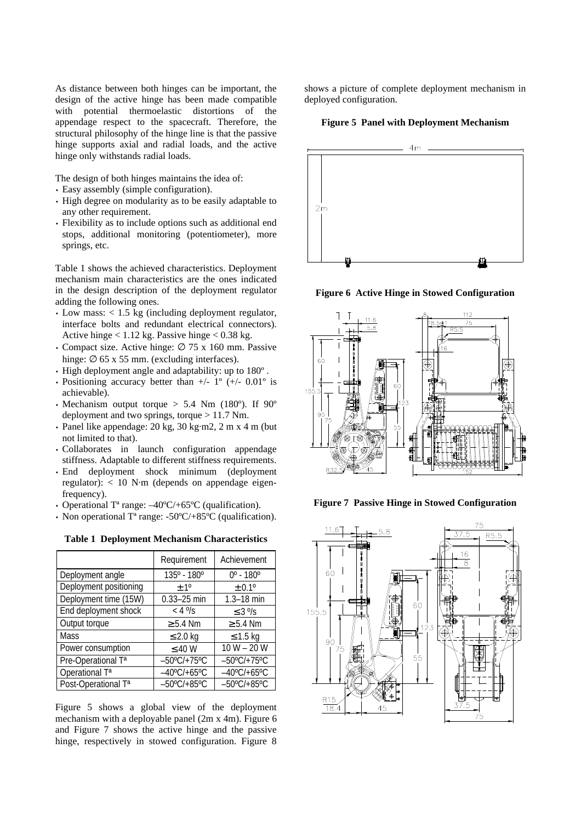As distance between both hinges can be important, the design of the active hinge has been made compatible with potential thermoelastic distortions of the appendage respect to the spacecraft. Therefore, the structural philosophy of the hinge line is that the passive hinge supports axial and radial loads, and the active hinge only withstands radial loads.

The design of both hinges maintains the idea of:

- Easy assembly (simple configuration).
- High degree on modularity as to be easily adaptable to any other requirement.
- Flexibility as to include options such as additional end stops, additional monitoring (potentiometer), more springs, etc.

Table 1 shows the achieved characteristics. Deployment mechanism main characteristics are the ones indicated in the design description of the deployment regulator adding the following ones.

- Low mass: < 1.5 kg (including deployment regulator, interface bolts and redundant electrical connectors). Active hinge < 1.12 kg. Passive hinge < 0.38 kg.
- Compact size. Active hinge:  $\varnothing$  75 x 160 mm. Passive hinge:  $\varnothing$  65 x 55 mm. (excluding interfaces).
- High deployment angle and adaptability: up to 180º .
- Positioning accuracy better than  $+/- 1^{\circ} (+/- 0.01^{\circ}$  is achievable).
- Mechanism output torque  $> 5.4$  Nm (180°). If 90° deployment and two springs, torque > 11.7 Nm.
- Panel like appendage:  $20 \text{ kg}$ ,  $30 \text{ kg} \cdot \text{m}$ ,  $2 \text{ m}$  x  $4 \text{ m}$  (but not limited to that).
- Collaborates in launch configuration appendage stiffness. Adaptable to different stiffness requirements.
- End deployment shock minimum (deployment regulator): < 10 N·m (depends on appendage eigenfrequency).
- Operational Tª range: –40ºC/+65ºC (qualification).
- Non operational  $T^a$  range: -50°C/+85°C (qualification).

**Table 1 Deployment Mechanism Characteristics**

|                                 | Requirement           | Achievement                  |
|---------------------------------|-----------------------|------------------------------|
| Deployment angle                | 135° - 180°           | $0^{\circ}$ - 180 $^{\circ}$ |
| Deployment positioning          | $\pm 1^{\circ}$       | ± 0.1 <sup>o</sup>           |
| Deployment time (15W)           | $0.33 - 25$ min       | $1.3 - 18$ min               |
| End deployment shock            | $< 4°$ /s             | $\leq$ 3 $\frac{9}{5}$       |
| Output torque                   | $\geq 5.4$ Nm         | $\geq 5.4$ Nm                |
| Mass                            | $\leq$ 2.0 kg         | $\leq$ 1.5 kg                |
| Power consumption               | $\leq 40$ W           | $10 W - 20 W$                |
| Pre-Operational T <sup>a</sup>  | $-50^{\circ}$ C/+75°C | $-50^{\circ}$ C/+75°C        |
| Operational T <sup>a</sup>      | $-40^{\circ}$ C/+65°C | $-40^{\circ}$ C/+65°C        |
| Post-Operational T <sup>a</sup> | $-50^{\circ}$ C/+85°C | $-50^{\circ}$ C/+85°C        |

Figure 5 shows a global view of the deployment mechanism with a deployable panel (2m x 4m). Figure 6 and Figure 7 shows the active hinge and the passive hinge, respectively in stowed configuration. Figure 8

shows a picture of complete deployment mechanism in deployed configuration.

**Figure 5 Panel with Deployment Mechanism**



**Figure 6 Active Hinge in Stowed Configuration**



**Figure 7 Passive Hinge in Stowed Configuration**

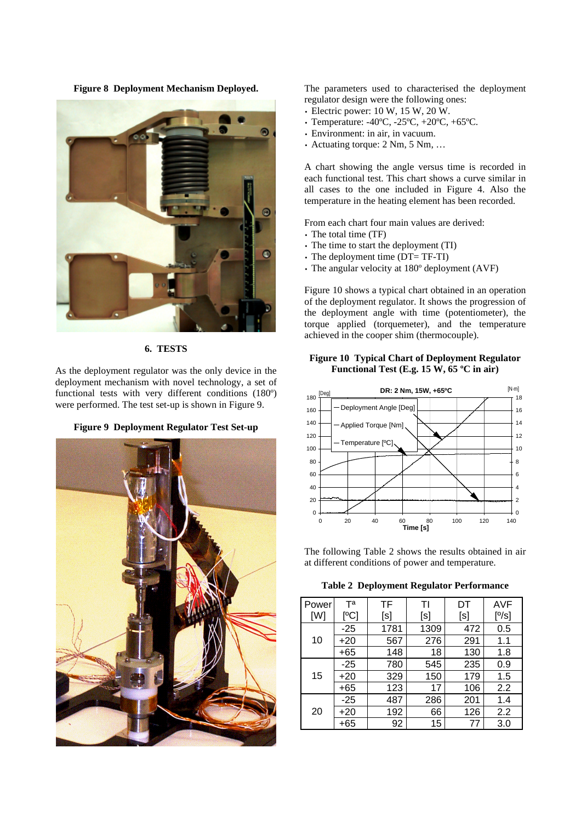**Figure 8 Deployment Mechanism Deployed.**



**6. TESTS**

As the deployment regulator was the only device in the deployment mechanism with novel technology, a set of functional tests with very different conditions (180º) were performed. The test set-up is shown in Figure 9.





The parameters used to characterised the deployment regulator design were the following ones:

- Electric power: 10 W, 15 W, 20 W.
- Temperature: -40ºC, -25ºC, +20ºC, +65ºC.
- Environment: in air, in vacuum.
- Actuating torque: 2 Nm, 5 Nm, ...

A chart showing the angle versus time is recorded in each functional test. This chart shows a curve similar in all cases to the one included in Figure 4. Also the temperature in the heating element has been recorded.

From each chart four main values are derived:

- The total time (TF)
- The time to start the deployment (TI)
- The deployment time (DT= TF-TI)
- The angular velocity at 180º deployment (AVF)

Figure 10 shows a typical chart obtained in an operation of the deployment regulator. It shows the progression of the deployment angle with time (potentiometer), the torque applied (torquemeter), and the temperature achieved in the cooper shim (thermocouple).

**Figure 10 Typical Chart of Deployment Regulator Functional Test (E.g. 15 W, 65 ºC in air)**



The following Table 2 shows the results obtained in air at different conditions of power and temperature.

**Table 2 Deployment Regulator Performance**

| Power | Τа    | ΤF   | ΤI   | DT  | AVF   |
|-------|-------|------|------|-----|-------|
| [W]   | [°C]  | [s]  | [s]  | [s] | [°/s] |
| 10    | $-25$ | 1781 | 1309 | 472 | 0.5   |
|       | $+20$ | 567  | 276  | 291 | 1.1   |
|       | +65   | 148  | 18   | 130 | 1.8   |
| 15    | $-25$ | 780  | 545  | 235 | 0.9   |
|       | $+20$ | 329  | 150  | 179 | 1.5   |
|       | +65   | 123  | 17   | 106 | 2.2   |
| 20    | -25   | 487  | 286  | 201 | 1.4   |
|       | +20   | 192  | 66   | 126 | 2.2   |
|       | +65   | 92   | 15   | 77  | 3.0   |